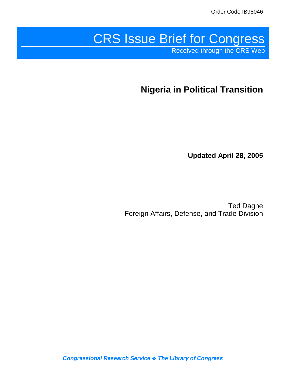# CRS Issue Brief for Congress Received through the CRS Web

**Nigeria in Political Transition**

**Updated April 28, 2005**

Ted Dagne Foreign Affairs, Defense, and Trade Division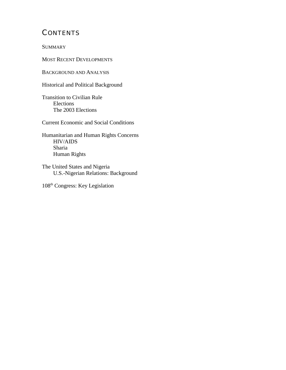# **CONTENTS**

**SUMMARY** 

MOST RECENT DEVELOPMENTS

BACKGROUND AND ANALYSIS

Historical and Political Background

Transition to Civilian Rule Elections The 2003 Elections

Current Economic and Social Conditions

Humanitarian and Human Rights Concerns HIV/AIDS Sharia Human Rights

The United States and Nigeria U.S.-Nigerian Relations: Background

108th Congress: Key Legislation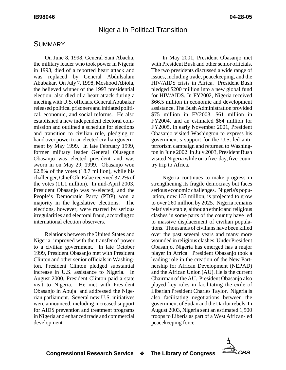#### Nigeria in Political Transition

#### **SUMMARY**

On June 8, 1998, General Sani Abacha, the military leader who took power in Nigeria in 1993, died of a reported heart attack and was replaced by General Abdulsalam Abubakar. On July 7, 1998, Moshood Abiola, the believed winner of the 1993 presidential election, also died of a heart attack during a meeting with U.S. officials. General Abubakar released political prisoners and initiated political, economic, and social reforms. He also established a new independent electoral commission and outlined a schedule for elections and transition to civilian rule, pledging to hand over power to an elected civilian government by May 1999. In late February 1999, former military leader General Olusegun Obasanjo was elected president and was sworn in on May 29, 1999. Obasanjo won 62.8% of the votes (18.7 million), while his challenger, Chief Olu Falae received 37.2% of the votes (11.1 million). In mid-April 2003, President Obasanjo was re-elected, and the People's Democratic Party (PDP) won a majority in the legislative elections. The elections, however, were marred by serious irregularities and electoral fraud, according to international election observers.

Relations between the United States and Nigeria improved with the transfer of power to a civilian government. In late October 1999, President Obasanjo met with President Clinton and other senior officials in Washington. President Clinton pledged substantial increase in U.S. assistance to Nigeria. In August 2000, President Clinton paid a state visit to Nigeria. He met with President Obasanjo in Abuja and addressed the Nigerian parliament. Several new U.S. initiatives were announced, including increased support for AIDS prevention and treatment programs in Nigeria and enhanced trade and commercial development.

In May 2001, President Obasanjo met with President Bush and other senior officials. The two presidents discussed a wide range of issues, including trade, peacekeeping, and the HIV/AIDS crisis in Africa. President Bush pledged \$200 million into a new global fund for HIV/AIDS. In FY2002, Nigeria received \$66.5 million in economic and development assistance. The Bush Administration provided \$75 million in FY2003, \$61 million in FY2004, and an estimated \$64 million for FY2005. In early November 2001, President Obasanjo visited Washington to express his government's support for the U.S.-led antiterrorism campaign and returned to Washington in June 2002. In July 2003, President Bush visited Nigeria while on a five-day, five-country trip to Africa.

Nigeria continues to make progress in strengthening its fragile democracy but faces serious economic challenges. Nigeria's population, now 133 million, is projected to grow to over 260 million by 2025. Nigeria remains relatively stable, although ethnic and religious clashes in some parts of the country have led to massive displacement of civilian populations. Thousands of civilians have been killed over the past several years and many more wounded in religious clashes. Under President Obasanjo, Nigeria has emerged has a major player in Africa. President Obasanjo took a leading role in the creation of the New Partnership for African Development (NEPAD) and the African Union (AU). He is the current Chairman of the AU. President Obasanjo also played key roles in facilitating the exile of Liberian President Charles Taylor. Nigeria is also facilitating negotiations between the government of Sudan and the Darfur rebels. In August 2003, Nigeria sent an estimated 1,500 troops to Liberia as part of a West African-led peacekeeping force.

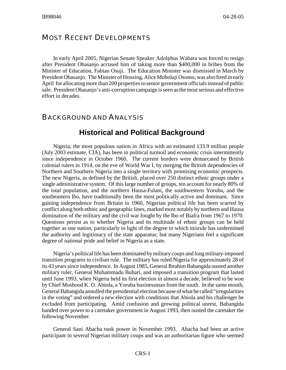#### MOST RECENT DEVELOPMENTS

In early April 2005, Nigerian Senate Speaker Adolphus Wabara was forced to resign after President Obasanjo accused him of taking more than \$400,000 in bribes from the Minister of Education, Fabian Osuji. The Education Minister was dismissed in March by President Obasanjo. The Minister of Housing, Alice Mobolaji Osomo, was also fired in early April for allocating more than 200 properties to senior government officials instead of public sale. President Obasanjo's anti-corruption campaign is seen as the most serious and effective effort in decades.

#### BACKGROUND AND ANALYSIS

### **Historical and Political Background**

Nigeria, the most populous nation in Africa with an estimated 133.9 million people (July 2003 estimate, CIA), has been in political turmoil and economic crisis intermittently since independence in October 1960. The current borders were demarcated by British colonial rulers in 1914, on the eve of World War I, by merging the British dependencies of Northern and Southern Nigeria into a single territory with promising economic prospects. The new Nigeria, as defined by the British, placed over 250 distinct ethnic groups under a single administrative system. Of this large number of groups, ten account for nearly 80% of the total population, and the northern Hausa-Fulani, the southwestern Yoruba, and the southeastern Ibo, have traditionally been the most politically active and dominant. Since gaining independence from Britain in 1960, Nigerian political life has been scarred by conflict along both ethnic and geographic lines, marked most notably by northern and Hausa domination of the military and the civil war fought by the Ibo of Biafra from 1967 to 1970. Questions persist as to whether Nigeria and its multitude of ethnic groups can be held together as one nation, particularly in light of the degree to which misrule has undermined the authority and legitimacy of the state apparatus; but many Nigerians feel a significant degree of national pride and belief in Nigeria as a state.

Nigeria's political life has been dominated by military coups and long military-imposed transition programs to civilian rule. The military has ruled Nigeria for approximately 28 of its 43 years since independence. In August 1985, General Ibrahim Babangida ousted another military ruler, General Muhammadu Buhari, and imposed a transition program that lasted until June 1993, when Nigeria held its first election in almost a decade, believed to be won by Chief Moshood K. O. Abiola, a Yoruba businessman from the south. In the same month, General Babangida annulled the presidential election because of what he called "irregularities in the voting" and ordered a new election with conditions that Abiola and his challenger be excluded from participating. Amid confusion and growing political unrest, Babangida handed over power to a caretaker government in August 1993, then ousted the caretaker the following November.

General Sani Abacha took power in November 1993. Abacha had been an active participant in several Nigerian military coups and was an authoritarian figure who seemed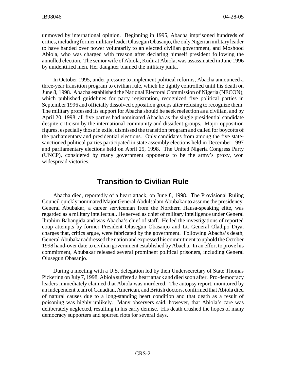unmoved by international opinion. Beginning in 1995, Abacha imprisoned hundreds of critics, including former military leader Olusegun Obasanjo, the only Nigerian military leader to have handed over power voluntarily to an elected civilian government, and Moshood Abiola, who was charged with treason after declaring himself president following the annulled election. The senior wife of Abiola, Kudirat Abiola, was assassinated in June 1996 by unidentified men. Her daughter blamed the military junta.

In October 1995, under pressure to implement political reforms, Abacha announced a three-year transition program to civilian rule, which he tightly controlled until his death on June 8, 1998. Abacha established the National Electoral Commission of Nigeria (NECON), which published guidelines for party registration, recognized five political parties in September 1996 and officially dissolved opposition groups after refusing to recognize them. The military professed its support for Abacha should he seek reelection as a civilian, and by April 20, 1998, all five parties had nominated Abacha as the single presidential candidate despite criticism by the international community and dissident groups. Major opposition figures, especially those in exile, dismissed the transition program and called for boycotts of the parliamentary and presidential elections. Only candidates from among the five statesanctioned political parties participated in state assembly elections held in December 1997 and parliamentary elections held on April 25, 1998. The United Nigeria Congress Party (UNCP), considered by many government opponents to be the army's proxy, won widespread victories.

#### **Transition to Civilian Rule**

Abacha died, reportedly of a heart attack, on June 8, 1998. The Provisional Ruling Council quickly nominated Major General Abdulsalam Abubakar to assume the presidency. General Abubakar, a career serviceman from the Northern Hausa-speaking elite, was regarded as a military intellectual. He served as chief of military intelligence under General Ibrahim Babangida and was Abacha's chief of staff. He led the investigations of reported coup attempts by former President Olusegun Obasanjo and Lt. General Oladipo Diya, charges that, critics argue, were fabricated by the government. Following Abacha's death, General Abubakar addressed the nation and expressed his commitment to uphold the October 1998 hand-over date to civilian government established by Abacha. In an effort to prove his commitment, Abubakar released several prominent political prisoners, including General Olusegun Obasanjo.

During a meeting with a U.S. delegation led by then Undersecretary of State Thomas Pickering on July 7, 1998, Abiola suffered a heart attack and died soon after. Pro-democracy leaders immediately claimed that Abiola was murdered. The autopsy report, monitored by an independent team of Canadian, American, and British doctors, confirmed that Abiola died of natural causes due to a long-standing heart condition and that death as a result of poisoning was highly unlikely. Many observers said, however, that Abiola's care was deliberately neglected, resulting in his early demise. His death crushed the hopes of many democracy supporters and spurred riots for several days.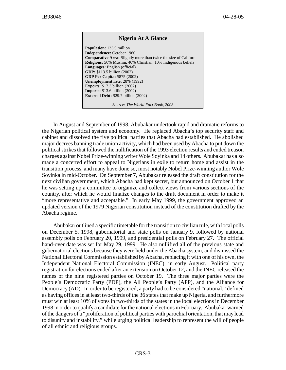| Nigeria At A Glance                                                      |
|--------------------------------------------------------------------------|
| <b>Population:</b> 133.9 million                                         |
| <b>Independence:</b> October 1960                                        |
| <b>Comparative Area:</b> Slightly more than twice the size of California |
| <b>Religions:</b> 50% Muslim, 40% Christian, 10% Indigenous beliefs      |
| Languages: English (official)                                            |
| <b>GDP:</b> \$113.5 billion (2002)                                       |
| <b>GDP Per Capita: \$875 (2002)</b>                                      |
| <b>Unemployment rate: 28% (1992)</b>                                     |
| <b>Exports:</b> $$17.3$ billion $(2002)$                                 |
| <b>Imports:</b> $$13.6$ billion $(2002)$                                 |
| <b>External Debt:</b> \$29.7 billion (2002)                              |
|                                                                          |
| Source: The World Fact Book, 2003                                        |

In August and September of 1998, Abubakar undertook rapid and dramatic reforms to the Nigerian political system and economy. He replaced Abacha's top security staff and cabinet and dissolved the five political parties that Abacha had established. He abolished major decrees banning trade union activity, which had been used by Abacha to put down the political strikes that followed the nullification of the 1993 election results and ended treason charges against Nobel Prize-winning writer Wole Soyinka and 14 others. Abubakar has also made a concerted effort to appeal to Nigerians in exile to return home and assist in the transition process, and many have done so, most notably Nobel Prize-winning author Wole Soyinka in mid-October. On September 7, Abubakar released the draft constitution for the next civilian government, which Abacha had kept secret, but announced on October 1 that he was setting up a committee to organize and collect views from various sections of the country, after which he would finalize changes to the draft document in order to make it "more representative and acceptable." In early May 1999, the government approved an updated version of the 1979 Nigerian constitution instead of the constitution drafted by the Abacha regime.

Abubakar outlined a specific timetable for the transition to civilian rule, with local polls on December 5, 1998, gubernatorial and state polls on January 9, followed by national assembly polls on February 20, 1999, and presidential polls on February 27. The official hand-over date was set for May 29, 1999. He also nullified all of the previous state and gubernatorial elections because they were held under the Abacha system, and dismissed the National Electoral Commission established by Abacha, replacing it with one of his own, the Independent National Electoral Commission (INEC), in early August. Political party registration for elections ended after an extension on October 12, and the INEC released the names of the nine registered parties on October 19. The three major parties were the People's Democratic Party (PDP), the All People's Party (APP), and the Alliance for Democracy (AD). In order to be registered, a party had to be considered "national," defined as having offices in at least two-thirds of the 36 states that make up Nigeria, and furthermore must win at least 10% of votes in two-thirds of the states in the local elections in December 1998 in order to qualify a candidate for the national elections in February. Abubakar warned of the dangers of a "proliferation of political parties with parochial orientation, that may lead to disunity and instability," while urging political leadership to represent the will of people of all ethnic and religious groups.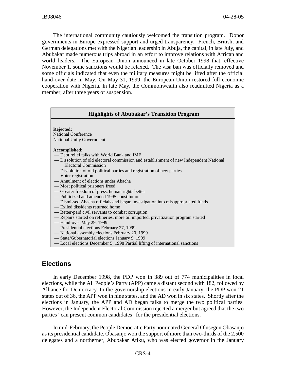The international community cautiously welcomed the transition program. Donor governments in Europe expressed support and urged transparency. French, British, and German delegations met with the Nigerian leadership in Abuja, the capital, in late July, and Abubakar made numerous trips abroad in an effort to improve relations with African and world leaders. The European Union announced in late October 1998 that, effective November 1, some sanctions would be relaxed. The visa ban was officially removed and some officials indicated that even the military measures might be lifted after the official hand-over date in May. On May 31, 1999, the European Union restored full economic cooperation with Nigeria. In late May, the Commonwealth also readmitted Nigeria as a member, after three years of suspension.



#### **Elections**

In early December 1998, the PDP won in 389 out of 774 municipalities in local elections, while the All People's Party (APP) came a distant second with 182, followed by Alliance for Democracy. In the governorship elections in early January, the PDP won 21 states out of 36, the APP won in nine states, and the AD won in six states. Shortly after the elections in January, the APP and AD began talks to merge the two political parties. However, the Independent Electoral Commission rejected a merger but agreed that the two parties "can present common candidates" for the presidential elections.

In mid-February, the People Democratic Party nominated General Olusegun Obasanjo as its presidential candidate. Obasanjo won the support of more than two-thirds of the 2,500 delegates and a northerner, Abubakar Atiku, who was elected governor in the January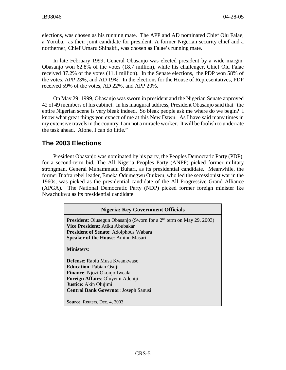elections, was chosen as his running mate. The APP and AD nominated Chief Olu Falae, a Yoruba, as their joint candidate for president. A former Nigerian security chief and a northerner, Chief Umaru Shinakfi, was chosen as Falae's running mate.

In late February 1999, General Obasanjo was elected president by a wide margin. Obasanjo won 62.8% of the votes (18.7 million), while his challenger, Chief Olu Falae received 37.2% of the votes (11.1 million). In the Senate elections, the PDP won 58% of the votes, APP 23%, and AD 19%. In the elections for the House of Representatives, PDP received 59% of the votes, AD 22%, and APP 20%.

On May 29, 1999, Obasanjo was sworn in president and the Nigerian Senate approved 42 of 49 members of his cabinet. In his inaugural address, President Obasanjo said that "the entire Nigerian scene is very bleak indeed. So bleak people ask me where do we begin? I know what great things you expect of me at this New Dawn. As I have said many times in my extensive travels in the country, I am not a miracle worker. It will be foolish to underrate the task ahead. Alone, I can do little."

#### **The 2003 Elections**

President Obasanjo was nominated by his party, the Peoples Democratic Party (PDP), for a second-term bid. The All Nigeria Peoples Party (ANPP) picked former military strongman, General Muhammadu Buhari, as its presidential candidate. Meanwhile, the former Biafra rebel leader, Emeka Odumegwu Ojukwu, who led the secessionist war in the 1960s, was picked as the presidential candidate of the All Progressive Grand Alliance (APGA). The National Democratic Party (NDP) picked former foreign minister Ike Nwachukwu as its presidential candidate.

| <b>Nigeria: Key Government Officials</b>                                     |  |  |  |  |  |  |  |
|------------------------------------------------------------------------------|--|--|--|--|--|--|--|
| <b>President:</b> Olusegun Obasanjo (Sworn for a $2nd$ term on May 29, 2003) |  |  |  |  |  |  |  |
| Vice President: Atiku Abubakar                                               |  |  |  |  |  |  |  |
| <b>President of Senate: Adolphous Wabara</b>                                 |  |  |  |  |  |  |  |
| <b>Speaker of the House: Aminu Masari</b>                                    |  |  |  |  |  |  |  |
| <b>Ministers:</b>                                                            |  |  |  |  |  |  |  |
| <b>Defense</b> : Rabiu Musa Kwankwaso                                        |  |  |  |  |  |  |  |
| <b>Education:</b> Fabian Osuji                                               |  |  |  |  |  |  |  |
| Finance: Njozi Okonjo-Iweala                                                 |  |  |  |  |  |  |  |
| Foreign Affairs: Oluyemi Adeniji                                             |  |  |  |  |  |  |  |
| Justice: Akin Olujimi                                                        |  |  |  |  |  |  |  |
| <b>Central Bank Governor: Joseph Sanusi</b>                                  |  |  |  |  |  |  |  |
| Source: Reuters, Dec. 4, 2003                                                |  |  |  |  |  |  |  |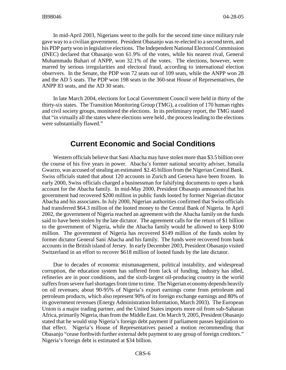In mid-April 2003, Nigerians went to the polls for the second time since military rule gave way to a civilian government. President Obasanjo was re-elected to a second term, and his PDP party won in legislative elections. The Independent National Electoral Commission (INEC) declared that Obasanjo won 61.9% of the votes, while his nearest rival, General Muhammadu Buhari of ANPP, won 32.1% of the votes. The elections, however, were marred by serious irregularities and electoral fraud, according to international election observers. In the Senate, the PDP won 72 seats out of 109 seats, while the ANPP won 28 and the AD 5 seats. The PDP won 198 seats in the 360-seat House of Representatives, the ANPP 83 seats, and the AD 30 seats.

In late March 2004, elections for Local Government Council were held in thirty of the thirty-six states. The Transition Monitoring Group (TMG), a coalition of 170 human rights and civil society groups, monitored the elections. In its preliminary report, the TMG stated that "in virtually all the states where elections were held , the process leading to the elections were substantially flawed."

#### **Current Economic and Social Conditions**

Western officials believe that Sani Abacha may have stolen more than \$3.5 billion over the course of his five years in power. Abacha's former national security adviser, Ismaila Gwarzo, was accused of stealing an estimated \$2.45 billion from the Nigerian Central Bank. Swiss officials stated that about 120 accounts in Zurich and Geneva have been frozen. In early 2000, Swiss officials charged a businessman for falsifying documents to open a bank account for the Abacha family. In mid-May 2000, President Obasanjo announced that his government had recovered \$200 million in public funds looted by former Nigerian dictator Abacha and his associates. In July 2000, Nigerian authorities confirmed that Swiss officials had transferred \$64.3 million of the looted money to the Central Bank of Nigeria. In April 2002, the government of Nigeria reached an agreement with the Abacha family on the funds said to have been stolen by the late dictator. The agreement calls for the return of \$1 billion to the government of Nigeria, while the Abacha family would be allowed to keep \$100 million. The government of Nigeria has recovered \$149 million of the funds stolen by former dictator General Sani Abacha and his family. The funds were recovered from bank accounts in the British island of Jersey. In early December 2003, President Obasanjo visited Switzerland in an effort to recover \$618 million of looted funds by the late dictator.

Due to decades of economic mismanagement, political instability, and widespread corruption, the education system has suffered from lack of funding, industry has idled, refineries are in poor conditions, and the sixth-largest oil-producing country in the world suffers from severe fuel shortages from time to time. The Nigerian economy depends heavily on oil revenues; about 90-95% of Nigeria's export earnings come from petroleum and petroleum products, which also represent 90% of its foreign exchange earnings and 80% of its government revenues (Energy Administration Information, March 2003). The European Union is a major trading partner, and the United States imports more oil from sub-Saharan Africa, primarily Nigeria, than from the Middle East. On March 9, 2005, President Obasanjo stated that he would stop Nigeria's foreign debt payment if parliament passes legislation to that effect. Nigeria's House of Representatives passed a motion recommending that Obasanjo "cease forthwith further external debt payment to any group of foreign creditors." Nigeria's foreign debt is estimated at \$34 billion.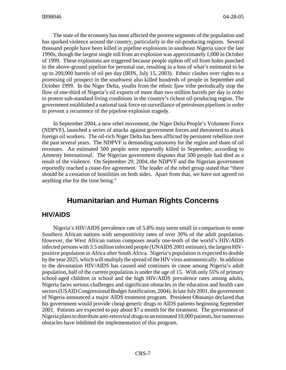The state of the economy has most affected the poorest segments of the population and has sparked violence around the country, particularly in the oil-producing regions. Several thousand people have been killed in pipeline explosions in southeast Nigeria since the late 1990s, though the largest single toll from an explosion was approximately 1,000 in October of 1999. These explosions are triggered because people siphon off oil from holes punched in the above-ground pipeline for personal use, resulting in a loss of what's estimated to be up to 200,000 barrels of oil per day (IRIN, July 15, 2003). Ethnic clashes over rights to a promising oil prospect in the southwest also killed hundreds of people in September and October 1999. In the Niger Delta, youths from the ethnic Ijaw tribe periodically stop the flow of one-third of Nigeria's oil exports of more than two million barrels per day in order to protest sub-standard living conditions in the country's richest oil-producing region. The government established a national task force on surveillance of petroleum pipelines in order to prevent a recurrence of the pipeline explosion tragedy.

In September 2004, a new rebel movement, the Niger Delta People's Volunteer Force (NDPVF), launched a series of attacks against government forces and threatened to attack foreign oil workers. The oil-rich Niger Delta has been afflicted by persistent rebellion over the past several years. The NDPVF is demanding autonomy for the region and share of oil revenues. An estimated 500 people were reportedly killed in September, according to Amnesty International. The Nigerian government disputes that 500 people had died as a result of the violence. On September 29, 2004, the NDPVF and the Nigerian government reportedly reached a cease-fire agreement. The leader of the rebel group stated that "there should be a cessation of hostilities on both sides. Apart from that, we have not agreed on anything else for the time being."

#### **Humanitarian and Human Rights Concerns**

#### **HIV/AIDS**

Nigeria's HIV/AIDS prevalence rate of 5.8% may seem small in comparison to some Southern African nations with seropositivity rates of over 30% of the adult population. However, the West African nation composes nearly one-tenth of the world's HIV/AIDS infected persons with 3.5 million infected people (UNAIDS 2001 estimate), the largest HIVpositive population in Africa after South Africa. Nigeria's population is expected to double by the year 2025, which will multiply the spread of the HIV virus astronomically. In addition to the devastation HIV/AIDS has caused and continues to cause among Nigeria's adult population, half of the current population is under the age of 15. With only 55% of primary school-aged children in school and the high HIV/AIDS prevalence rates among adults, Nigeria faces serious challenges and significant obstacles in the education and health care sectors (USAID Congressional Budget Justification, 2004). In late July 2001, the government of Nigeria announced a major AIDS treatment program. President Obasanjo declared that his government would provide cheap generic drugs to AIDS patients beginning September 2001. Patients are expected to pay about \$7 a month for the treatment. The government of Nigeria plans to distribute anti-retroviral drugs to an estimated 10,000 patients, but numerous obstacles have inhibited the implementation of this program.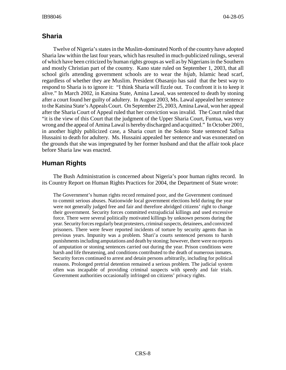#### **Sharia**

Twelve of Nigeria's states in the Muslim-dominated North of the country have adopted Sharia law within the last four years, which has resulted in much-publicized rulings, several of which have been criticized by human rights groups as well as by Nigerians in the Southern and mostly Christian part of the country. Kano state ruled on September 1, 2003, that all school girls attending government schools are to wear the *hijab*, Islamic head scarf, regardless of whether they are Muslim. President Obasanjo has said that the best way to respond to Sharia is to ignore it: "I think Sharia will fizzle out. To confront it is to keep it alive." In March 2002, in Katsina State, Amina Lawal, was sentenced to death by stoning after a court found her guilty of adultery. In August 2003, Ms. Lawal appealed her sentence to the Katsina State's Appeals Court. On September 25, 2003, Amina Lawal, won her appeal after the Sharia Court of Appeal ruled that her conviction was invalid. The Court ruled that "it is the view of this Court that the judgment of the Upper Sharia Court, Funtua, was very wrong and the appeal of Amina Lawal is hereby discharged and acquitted." In October 2001, in another highly publicized case, a Sharia court in the Sokoto State sentenced Safiya Hussaini to death for adultery. Ms. Hussaini appealed her sentence and was exonerated on the grounds that she was impregnated by her former husband and that the affair took place before Sharia law was enacted.

#### **Human Rights**

The Bush Administration is concerned about Nigeria's poor human rights record. In its Country Report on Human Rights Practices for 2004, the Department of State wrote:

The Government's human rights record remained poor, and the Government continued to commit serious abuses. Nationwide local government elections held during the year were not generally judged free and fair and therefore abridged citizens' right to change their government. Security forces committed extrajudicial killings and used excessive force. There were several politically motivated killings by unknown persons during the year. Security forces regularly beat protesters, criminal suspects, detainees, and convicted prisoners. There were fewer reported incidents of torture by security agents than in previous years. Impunity was a problem. Shari'a courts sentenced persons to harsh punishments including amputations and death by stoning; however, there were no reports of amputation or stoning sentences carried out during the year. Prison conditions were harsh and life threatening, and conditions contributed to the death of numerous inmates. Security forces continued to arrest and detain persons arbitrarily, including for political reasons. Prolonged pretrial detention remained a serious problem. The judicial system often was incapable of providing criminal suspects with speedy and fair trials. Government authorities occasionally infringed on citizens' privacy rights.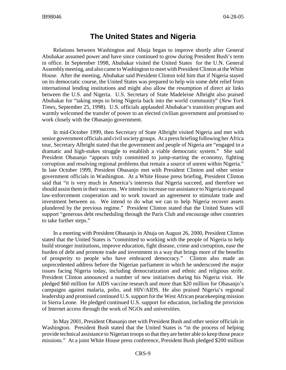#### **The United States and Nigeria**

Relations between Washington and Abuja began to improve shortly after General Abubakar assumed power and have since continued to grow during President Bush's term in office. In September 1998, Abubakar visited the United States for the U.N. General Assembly meeting, and also came to Washington to meet with President Clinton at the White House. After the meeting, Abubakar said President Clinton told him that if Nigeria stayed on its democratic course, the United States was prepared to help win some debt relief from international lending institutions and might also allow the resumption of direct air links between the U.S. and Nigeria. U.S. Secretary of State Madeleine Albright also praised Abubakar for "taking steps to bring Nigeria back into the world community" (*New York Times*, September 25, 1998). U.S. officials applauded Abubakar's transition program and warmly welcomed the transfer of power to an elected civilian government and promised to work closely with the Obasanjo government.

In mid-October 1999, then Secretary of State Albright visited Nigeria and met with senior government officials and civil society groups. At a press briefing following her Africa tour, Secretary Albright stated that the government and people of Nigeria are "engaged in a dramatic and high-stakes struggle to establish a viable democratic system." She said President Obasanjo "appears truly committed to jump-starting the economy, fighting corruption and resolving regional problems that remain a source of unrest within Nigeria." In late October 1999, President Obasanjo met with President Clinton and other senior government officials in Washington. At a White House press briefing, President Clinton said that "it is very much in America's interests that Nigeria succeed, and therefore we should assist them in their success. We intend to increase our assistance to Nigeria to expand law-enforcement cooperation and to work toward an agreement to stimulate trade and investment between us. We intend to do what we can to help Nigeria recover assets plundered by the previous regime." President Clinton stated that the United States will support "generous debt rescheduling through the Paris Club and encourage other countries to take further steps."

In a meeting with President Obasanjo in Abuja on August 26, 2000, President Clinton stated that the United States is "committed to working with the people of Nigeria to help build stronger institutions, improve education, fight disease, crime and corruption, ease the burden of debt and promote trade and investment in a way that brings more of the benefits of prosperity to people who have embraced democracy." Clinton also made an unprecedented address before the Nigerian parliament in which he underscored the major issues facing Nigeria today, including democratization and ethnic and religious strife. President Clinton announced a number of new initiatives during his Nigeria visit. He pledged \$60 million for AIDS vaccine research and more than \$20 million for Obasanjo's campaigns against malaria, polio, and HIV/AIDS. He also praised Nigeria's regional leadership and promised continued U.S. support for the West African peacekeeping mission in Sierra Leone. He pledged continued U.S. support for education, including the provision of Internet access through the work of NGOs and universities.

In May 2001, President Obasanjo met with President Bush and other senior officials in Washington. President Bush stated that the United States is "in the process of helping provide technical assistance to Nigerian troops so that they are better able to keep those peace missions." At a joint White House press conference, President Bush pledged \$200 million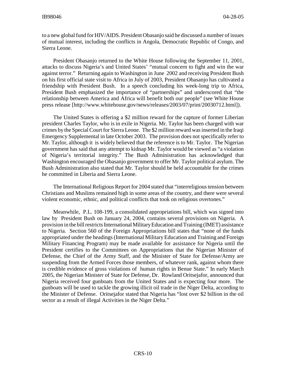to a new global fund for HIV/AIDS. President Obasanjo said he discussed a number of issues of mutual interest, including the conflicts in Angola, Democratic Republic of Congo, and Sierra Leone.

President Obasanjo returned to the White House following the September 11, 2001, attacks to discuss Nigeria's and United States' "mutual concern to fight and win the war against terror." Returning again to Washington in June 2002 and receiving President Bush on his first official state visit to Africa in July of 2003, President Obasanjo has cultivated a friendship with President Bush. In a speech concluding his week-long trip to Africa, President Bush emphasized the importance of "partnerships" and underscored that "the relationship between America and Africa will benefit both our people" (see White House press release [http://www.whitehouse.gov/news/releases/2003/07/print/20030712.html]).

The United States is offering a \$2 million reward for the capture of former Liberian president Charles Taylor, who is in exile in Nigeria. Mr. Taylor has been charged with war crimes by the Special Court for Sierra Leone. The \$2 million reward was inserted in the Iraqi Emergency Supplemental in late October 2003. The provision does not specifically refer to Mr. Taylor, although it is widely believed that the reference is to Mr. Taylor. The Nigerian government has said that any attempt to kidnap Mr. Taylor would be viewed as "a violation of Nigeria's territorial integrity." The Bush Administration has acknowledged that Washington encouraged the Obasanjo government to offer Mr. Taylor political asylum. The Bush Administration also stated that Mr. Taylor should be held accountable for the crimes he committed in Liberia and Sierra Leone.

The International Religious Report for 2004 stated that "interreligious tension between Christians and Muslims remained high in some areas of the country, and there were several violent economic, ethnic, and political conflicts that took on religious overtones."

Meanwhile, P.L. 108-199, a consolidated appropriations bill, which was signed into law by President Bush on January 24, 2004, contains several provisions on Nigeria. A provision in the bill restricts International Military Education and Training (IMET) assistance to Nigeria. Section 560 of the Foreign Appropriations bill states that "none of the funds appropriated under the headings (International Military Education and Training and Foreign Military Financing Program) may be made available for assistance for Nigeria until the President certifies to the Committees on Appropriations that the Nigerian Minister of Defense, the Chief of the Army Staff, and the Minister of State for Defense/Army are suspending from the Armed Forces those members, of whatever rank, against whom there is credible evidence of gross violations of human rights in Benue State." In early March 2005, the Nigerian Minister of State for Defense, Dr. Rowland Oritsejafor, announced that Nigeria received four gunboats from the United States and is expecting four more. The gunboats will be used to tackle the growing illicit oil trade in the Niger Delta, according to the Minister of Defense. Oritsejafor stated that Nigeria has "lost over \$2 billion in the oil sector as a result of illegal Activities in the Niger Delta."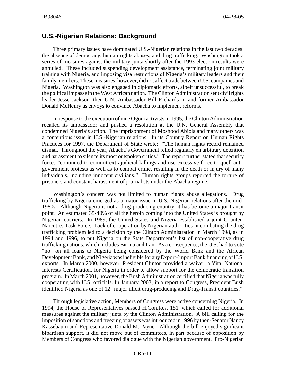#### **U.S.-Nigerian Relations: Background**

Three primary issues have dominated U.S.-Nigerian relations in the last two decades: the absence of democracy, human rights abuses, and drug trafficking. Washington took a series of measures against the military junta shortly after the 1993 election results were annulled. These included suspending development assistance, terminating joint military training with Nigeria, and imposing visa restrictions of Nigeria's military leaders and their family members. These measures, however, did not affect trade between U.S. companies and Nigeria. Washington was also engaged in diplomatic efforts, albeit unsuccessful, to break the political impasse in the West African nation. The Clinton Administration sent civil rights leader Jesse Jackson, then-U.N. Ambassador Bill Richardson, and former Ambassador Donald McHenry as envoys to convince Abacha to implement reforms.

In response to the execution of nine Ogoni activists in 1995, the Clinton Administration recalled its ambassador and pushed a resolution at the U.N. General Assembly that condemned Nigeria's action. The imprisonment of Moshood Abiola and many others was a contentious issue in U.S.-Nigerian relations. In its Country Report on Human Rights Practices for 1997, the Department of State wrote: "The human rights record remained dismal. Throughout the year, Abacha's Government relied regularly on arbitrary detention and harassment to silence its most outspoken critics." The report further stated that security forces "continued to commit extrajudicial killings and use excessive force to quell antigovernment protests as well as to combat crime, resulting in the death or injury of many individuals, including innocent civilians." Human rights groups reported the torture of prisoners and constant harassment of journalists under the Abacha regime.

Washington's concern was not limited to human rights abuse allegations. Drug trafficking by Nigeria emerged as a major issue in U.S.-Nigerian relations after the mid-1980s. Although Nigeria is not a drug-producing country, it has become a major transit point. An estimated 35-40% of all the heroin coming into the United States is brought by Nigerian couriers. In 1989, the United States and Nigeria established a joint Counter-Narcotics Task Force. Lack of cooperation by Nigerian authorities in combating the drug trafficking problem led to a decision by the Clinton Administration in March 1998, as in 1994 and 1996, to put Nigeria on the State Department's list of non-cooperative drug trafficking nations, which includes Burma and Iran. As a consequence, the U.S. had to vote "no" on all loans to Nigeria being considered by the World Bank and the African Development Bank, and Nigeria was ineligible for any Export-Import Bank financing of U.S. exports. In March 2000, however, President Clinton provided a waiver, a Vital National Interests Certification, for Nigeria in order to allow support for the democratic transition program. In March 2001, however, the Bush Administration certified that Nigeria was fully cooperating with U.S. officials. In January 2003, in a report to Congress, President Bush identified Nigeria as one of 12 "major illicit drug-producing and Drug-Transit countries."

Through legislative action, Members of Congress were active concerning Nigeria. In 1994, the House of Representatives passed H.Con.Res. 151, which called for additional measures against the military junta by the Clinton Administration. A bill calling for the imposition of sanctions and freezing of assets was introduced in 1996 by then-Senator Nancy Kassebaum and Representative Donald M. Payne. Although the bill enjoyed significant bipartisan support, it did not move out of committees, in part because of opposition by Members of Congress who favored dialogue with the Nigerian government. Pro-Nigerian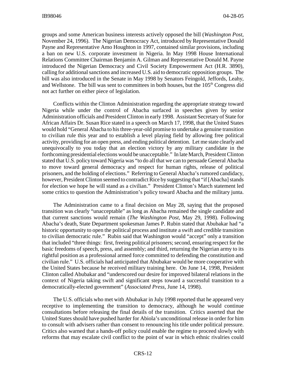groups and some American business interests actively opposed the bill (*Washington Post*, November 24, 1996). The Nigerian Democracy Act, introduced by Representative Donald Payne and Representative Amo Houghton in 1997, contained similar provisions, including a ban on new U.S. corporate investment in Nigeria. In May 1998 House International Relations Committee Chairman Benjamin A. Gilman and Representative Donald M. Payne introduced the Nigerian Democracy and Civil Society Empowerment Act (H.R. 3890), calling for additional sanctions and increased U.S. aid to democratic opposition groups. The bill was also introduced in the Senate in May 1998 by Senators Feingold, Jeffords, Leahy, and Wellstone. The bill was sent to committees in both houses, but the 105<sup>th</sup> Congress did not act further on either piece of legislation.

Conflicts within the Clinton Administration regarding the appropriate strategy toward Nigeria while under the control of Abacha surfaced in speeches given by senior Administration officials and President Clinton in early 1998. Assistant Secretary of State for African Affairs Dr. Susan Rice stated in a speech on March 17, 1998, that the United States would hold "General Abacha to his three-year-old promise to undertake a genuine transition to civilian rule this year and to establish a level playing field by allowing free political activity, providing for an open press, and ending political detention. Let me state clearly and unequivocally to you today that an election victory by any military candidate in the forthcoming presidential elections would be unacceptable." In late March, President Clinton stated that U.S. policy toward Nigeria was "to do all that we can to persuade General Abacha to move toward general democracy and respect for human rights, release of political prisoners, and the holding of elections." Referring to General Abacha's rumored candidacy, however, President Clinton seemed to contradict Rice by suggesting that "if [Abacha] stands for election we hope he will stand as a civilian." President Clinton's March statement led some critics to question the Administration's policy toward Abacha and the military junta.

The Administration came to a final decision on May 28, saying that the proposed transition was clearly "unacceptable" as long as Abacha remained the single candidate and that current sanctions would remain (*The Washington Post*, May 29, 1998). Following Abacha's death, State Department spokesman James P. Rubin stated that Abubakar had "a historic opportunity to open the political process and institute a swift and credible transition to civilian democratic rule." Rubin said that Washington would "accept" only a transition that included "three things: first, freeing political prisoners; second, ensuring respect for the basic freedoms of speech, press, and assembly; and third, returning the Nigerian army to its rightful position as a professional armed force committed to defending the constitution and civilian rule." U.S. officials had anticipated that Abubakar would be more cooperative with the United States because he received military training here. On June 14, 1998, President Clinton called Abubakar and "underscored our desire for improved bilateral relations in the context of Nigeria taking swift and significant steps toward a successful transition to a democratically-elected government" (*Associated Press*, June 14, 1998).

The U.S. officials who met with Abubakar in July 1998 reported that he appeared very receptive to implementing the transition to democracy, although he would continue consultations before releasing the final details of the transition. Critics asserted that the United States should have pushed harder for Abiola's unconditional release in order for him to consult with advisers rather than consent to renouncing his title under political pressure. Critics also warned that a hands-off policy could enable the regime to proceed slowly with reforms that may escalate civil conflict to the point of war in which ethnic rivalries could